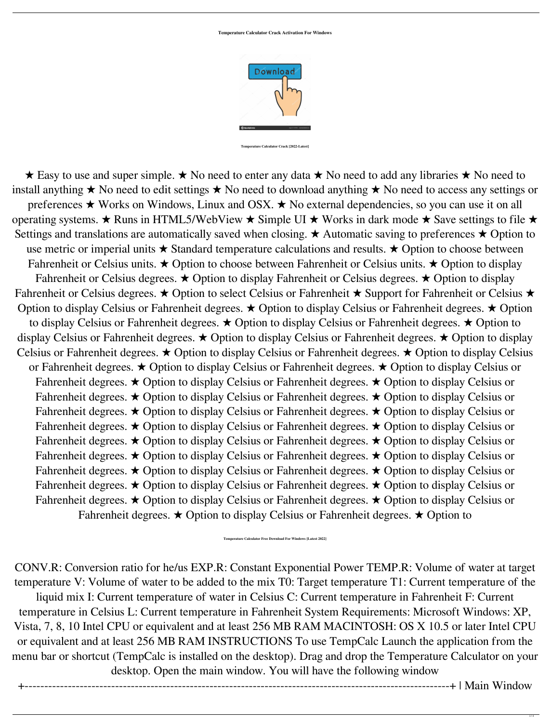**Temperature Calculator Crack Activation For Windows**



**Temperature Calculator Crack [2022-Latest]**

 $\star$  Easy to use and super simple.  $\star$  No need to enter any data  $\star$  No need to add any libraries  $\star$  No need to install anything  $\star$  No need to edit settings  $\star$  No need to download anything  $\star$  No need to access any settings or preferences  $\star$  Works on Windows, Linux and OSX.  $\star$  No external dependencies, so you can use it on all operating systems.  $\star$  Runs in HTML5/WebView  $\star$  Simple UI  $\star$  Works in dark mode  $\star$  Save settings to file  $\star$ Settings and translations are automatically saved when closing.  $\star$  Automatic saving to preferences  $\star$  Option to use metric or imperial units  $\star$  Standard temperature calculations and results.  $\star$  Option to choose between Fahrenheit or Celsius units.  $\star$  Option to choose between Fahrenheit or Celsius units.  $\star$  Option to display Fahrenheit or Celsius degrees.  $\star$  Option to display Fahrenheit or Celsius degrees.  $\star$  Option to display Fahrenheit or Celsius degrees.  $\star$  Option to select Celsius or Fahrenheit  $\star$  Support for Fahrenheit or Celsius  $\star$ Option to display Celsius or Fahrenheit degrees.  $\star$  Option to display Celsius or Fahrenheit degrees.  $\star$  Option to display Celsius or Fahrenheit degrees.  $\star$  Option to display Celsius or Fahrenheit degrees.  $\star$  Option to display Celsius or Fahrenheit degrees.  $\star$  Option to display Celsius or Fahrenheit degrees.  $\star$  Option to display Celsius or Fahrenheit degrees.  $\star$  Option to display Celsius or Fahrenheit degrees.  $\star$  Option to display Celsius or Fahrenheit degrees.  $\star$  Option to display Celsius or Fahrenheit degrees.  $\star$  Option to display Celsius or Fahrenheit degrees.  $\star$  Option to display Celsius or Fahrenheit degrees.  $\star$  Option to display Celsius or Fahrenheit degrees.  $\star$  Option to display Celsius or Fahrenheit degrees.  $\star$  Option to display Celsius or Fahrenheit degrees.  $\star$  Option to display Celsius or Fahrenheit degrees.  $\star$  Option to display Celsius or Fahrenheit degrees.  $\star$  Option to display Celsius or Fahrenheit degrees.  $\star$  Option to display Celsius or Fahrenheit degrees.  $\star$  Option to display Celsius or Fahrenheit degrees.  $\star$  Option to display Celsius or Fahrenheit degrees.  $\star$  Option to display Celsius or Fahrenheit degrees.  $\star$  Option to display Celsius or Fahrenheit degrees.  $\star$  Option to display Celsius or Fahrenheit degrees.  $\star$  Option to display Celsius or Fahrenheit degrees.  $\star$  Option to display Celsius or Fahrenheit degrees.  $\star$  Option to display Celsius or Fahrenheit degrees.  $\star$  Option to display Celsius or Fahrenheit degrees.  $\star$  Option to display Celsius or Fahrenheit degrees.  $\star$  Option to display Celsius or Fahrenheit degrees.  $\star$  Option to

CONV.R: Conversion ratio for he/us EXP.R: Constant Exponential Power TEMP.R: Volume of water at target temperature V: Volume of water to be added to the mix T0: Target temperature T1: Current temperature of the liquid mix I: Current temperature of water in Celsius C: Current temperature in Fahrenheit F: Current temperature in Celsius L: Current temperature in Fahrenheit System Requirements: Microsoft Windows: XP, Vista, 7, 8, 10 Intel CPU or equivalent and at least 256 MB RAM MACINTOSH: OS X 10.5 or later Intel CPU or equivalent and at least 256 MB RAM INSTRUCTIONS To use TempCalc Launch the application from the menu bar or shortcut (TempCalc is installed on the desktop). Drag and drop the Temperature Calculator on your desktop. Open the main window. You will have the following window

+------------------------------------------------------------------------------------------------------------+ | Main Window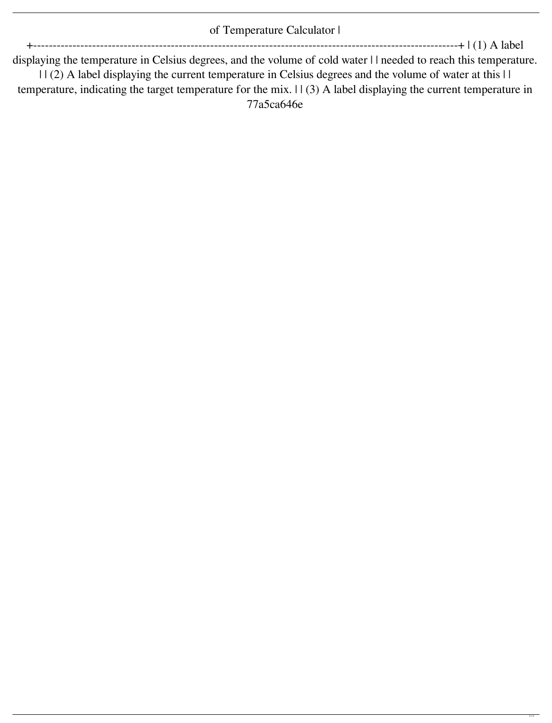## of Temperature Calculator I

+------------------------------------------------------------------------------------------------------------+ | (1) A label

displaying the temperature in Celsius degrees, and the volume of cold water I I needed to reach this temperature. | | (2) A label displaying the current temperature in Celsius degrees and the volume of water at this | | temperature, indicating the target temperature for the mix. | | (3) A label displaying the current temperature in 77a5ca646e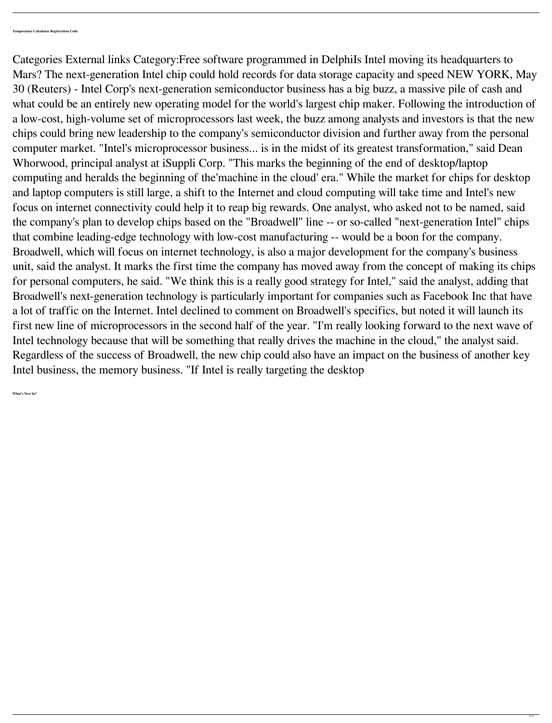Categories External links Category:Free software programmed in DelphiIs Intel moving its headquarters to Mars? The next-generation Intel chip could hold records for data storage capacity and speed NEW YORK, May 30 (Reuters) - Intel Corp's next-generation semiconductor business has a big buzz, a massive pile of cash and what could be an entirely new operating model for the world's largest chip maker. Following the introduction of a low-cost, high-volume set of microprocessors last week, the buzz among analysts and investors is that the new chips could bring new leadership to the company's semiconductor division and further away from the personal computer market. "Intel's microprocessor business... is in the midst of its greatest transformation," said Dean Whorwood, principal analyst at iSuppli Corp. "This marks the beginning of the end of desktop/laptop computing and heralds the beginning of the'machine in the cloud' era." While the market for chips for desktop and laptop computers is still large, a shift to the Internet and cloud computing will take time and Intel's new focus on internet connectivity could help it to reap big rewards. One analyst, who asked not to be named, said the company's plan to develop chips based on the "Broadwell" line -- or so-called "next-generation Intel" chips that combine leading-edge technology with low-cost manufacturing -- would be a boon for the company. Broadwell, which will focus on internet technology, is also a major development for the company's business unit, said the analyst. It marks the first time the company has moved away from the concept of making its chips for personal computers, he said. "We think this is a really good strategy for Intel," said the analyst, adding that Broadwell's next-generation technology is particularly important for companies such as Facebook Inc that have a lot of traffic on the Internet. Intel declined to comment on Broadwell's specifics, but noted it will launch its first new line of microprocessors in the second half of the year. "I'm really looking forward to the next wave of Intel technology because that will be something that really drives the machine in the cloud," the analyst said. Regardless of the success of Broadwell, the new chip could also have an impact on the business of another key Intel business, the memory business. "If Intel is really targeting the desktop

**What's New In?**